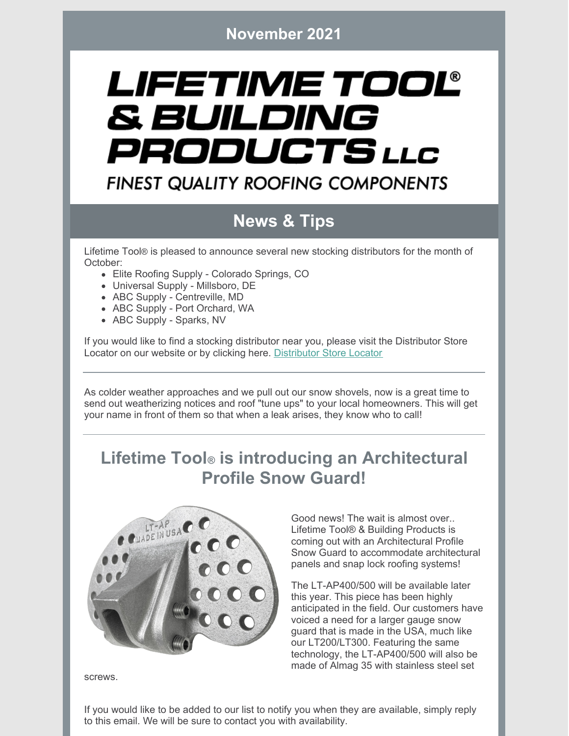# LIFETIME TOOL® & BUILDING PRODUCTS LLC

**FINEST QUALITY ROOFING COMPONENTS** 

# **News & Tips**

Lifetime Tool® is pleased to announce several new stocking distributors for the month of October:

- Elite Roofing Supply Colorado Springs, CO
- Universal Supply Millsboro, DE
- ABC Supply Centreville, MD
- ABC Supply Port Orchard, WA
- ABC Supply Sparks, NV

If you would like to find a stocking distributor near you, please visit the Distributor Store Locator on our website or by clicking here. [Distributor](https://lifetimetool.com/store-locator/) Store Locator

As colder weather approaches and we pull out our snow shovels, now is a great time to send out weatherizing notices and roof "tune ups" to your local homeowners. This will get your name in front of them so that when a leak arises, they know who to call!

# **Lifetime Tool® is introducing an Architectural Profile Snow Guard!**



Good news! The wait is almost over.. Lifetime Tool® & Building Products is coming out with an Architectural Profile Snow Guard to accommodate architectural panels and snap lock roofing systems!

The LT-AP400/500 will be available later this year. This piece has been highly anticipated in the field. Our customers have voiced a need for a larger gauge snow guard that is made in the USA, much like our LT200/LT300. Featuring the same technology, the LT-AP400/500 will also be made of Almag 35 with stainless steel set

screws.

If you would like to be added to our list to notify you when they are available, simply reply to this email. We will be sure to contact you with availability.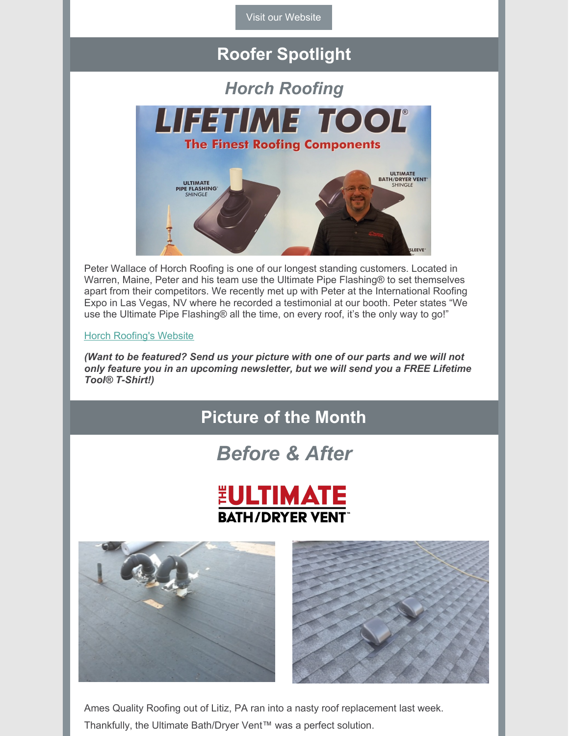Visit our [Website](https://lifetimetool.com/)

# **Roofer Spotlight**

### *Horch Roofing*



Peter Wallace of Horch Roofing is one of our longest standing customers. Located in Warren, Maine, Peter and his team use the Ultimate Pipe Flashing® to set themselves apart from their competitors. We recently met up with Peter at the International Roofing Expo in Las Vegas, NV where he recorded a testimonial at our booth. Peter states "We use the Ultimate Pipe Flashing® all the time, on every roof, it's the only way to go!"

#### Horch [Roofing's](https://horchroofing.com/) Website

*(Want to be featured? Send us your picture with one of our parts and we will not only feature you in an upcoming newsletter, but we will send you a FREE Lifetime Tool® T-Shirt!)*

# **Picture of the Month**

# *Before & After*







Ames Quality Roofing out of Litiz, PA ran into a nasty roof replacement last week. Thankfully, the Ultimate Bath/Dryer Vent™ was a perfect solution.